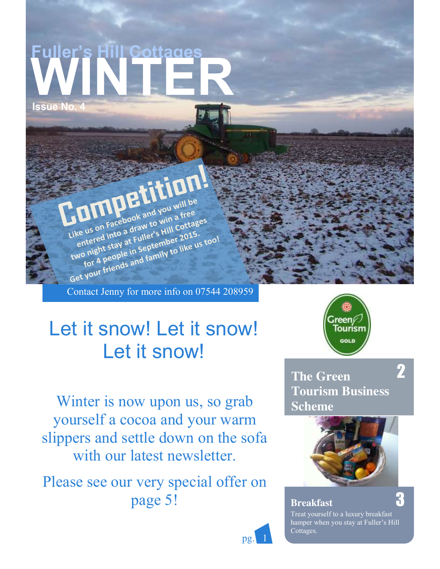# <u>**Fulle<u>r</u>'s Hill Cottages</u>**</u> **Issue No. 4**

DITIPE Like us on Facebook and you will be<br>Like us on Facebook and you will be<br>antered into a draw to win a free THE US on Facebook and you will be<br>ke us on Facebook and you win a free<br>entered into a draw to win a free<br>entered into a truller's Hill Cottage Like us on Facebook and Your a free<br>Like us on Facebook and Your a free<br>entered into a draw to win a free<br>entered into a truller's Hill Cottages<br>two night stay at Fuller's Dike us to<br>for 4 people in September to like us to  $\frac{1}{2}$  us on Face a draw to Hill Cottabe<br>Intered into a draw to Hill Cottabe<br>o night stay at Fuller's Hill Cottabe<br>o night stay at Fuller's Hill to like us<br>for 4 people in Septembr to like us Get your friends and family to like us too!

tion

# Let it snow! Let it snow! Let it snow!

Winter is now upon us, so grab yourself a cocoa and your warm slippers and settle down on the sofa with our latest newsletter.

Please see our very special offer on page 5!



**The Green Tourism Business Scheme**



#### **Breakfast**

Treat yourself to a luxury breakfast hamper when you stay at Fuller's Hill Cottages.



2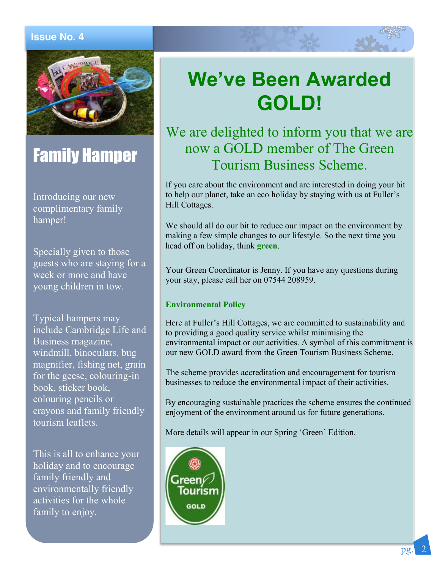### **Issue No. 4 Issue Date**



### Family Hamper

Introducing our new complimentary family hamper!

Specially given to those guests who are staying for a week or more and have young children in tow.

Typical hampers may include Cambridge Life and Business magazine, windmill, binoculars, bug magnifier, fishing net, grain for the geese, colouring-in book, sticker book, colouring pencils or crayons and family friendly tourism leaflets.

This is all to enhance your holiday and to encourage family friendly and environmentally friendly activities for the whole family to enjoy.

# **We've Been Awarded GOLD!**

### We are delighted to inform you that we are now a GOLD member of The Green Tourism Business Scheme.

If you care about the environment and are interested in doing your bit to help our planet, take an eco holiday by staying with us at Fuller's Hill Cottages.

We should all do our bit to reduce our impact on the environment by making a few simple changes to our lifestyle. So the next time you head off on holiday, think **green**.

Your Green Coordinator is Jenny. If you have any questions during your stay, please call her on 07544 208959.

#### **Environmental Policy**

Here at Fuller's Hill Cottages, we are committed to sustainability and to providing a good quality service whilst minimising the environmental impact or our activities. A symbol of this commitment is our new GOLD award from the Green Tourism Business Scheme.

The scheme provides accreditation and encouragement for tourism businesses to reduce the environmental impact of their activities.

By encouraging sustainable practices the scheme ensures the continued enjoyment of the environment around us for future generations.

More details will appear in our Spring 'Green' Edition.

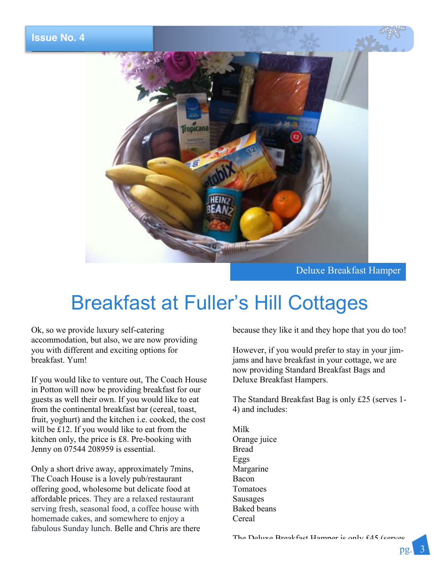### **Issue No. 4 Issue Date**



Deluxe Breakfast Hamper

## Breakfast at Fuller's Hill Cottages

Ok, so we provide luxury self-catering accommodation, but also, we are now providing you with different and exciting options for breakfast. Yum!

If you would like to venture out, The Coach House in Potton will now be providing breakfast for our guests as well their own. If you would like to eat from the continental breakfast bar (cereal, toast, fruit, yoghurt) and the kitchen i.e. cooked, the cost will be £12. If you would like to eat from the kitchen only, the price is £8. Pre-booking with Jenny on 07544 208959 is essential.

Only a short drive away, approximately 7mins, The Coach House is a lovely pub/restaurant offering good, wholesome but delicate food at affordable prices. They are a relaxed restaurant serving fresh, seasonal food, a coffee house with homemade cakes, and somewhere to enjoy a fabulous Sunday lunch. Belle and Chris are there because they like it and they hope that you do too!

However, if you would prefer to stay in your jimjams and have breakfast in your cottage, we are now providing Standard Breakfast Bags and Deluxe Breakfast Hampers.

The Standard Breakfast Bag is only £25 (serves 1- 4) and includes:

Milk Orange juice Bread Eggs Margarine Bacon Tomatoes Sausages Baked beans Cereal

The Deluxe Breakfast Hamper is only £45 (serves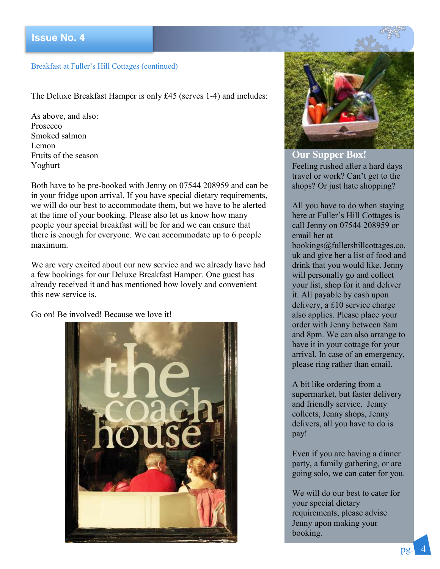#### Breakfast at Fuller's Hill Cottages (continued)

The Deluxe Breakfast Hamper is only £45 (serves 1-4) and includes:

As above, and also: **Prosecco** Smoked salmon Lemon Fruits of the season Yoghurt

Both have to be pre-booked with Jenny on 07544 208959 and can be in your fridge upon arrival. If you have special dietary requirements, we will do our best to accommodate them, but we have to be alerted at the time of your booking. Please also let us know how many people your special breakfast will be for and we can ensure that there is enough for everyone. We can accommodate up to 6 people maximum.

We are very excited about our new service and we already have had a few bookings for our Deluxe Breakfast Hamper. One guest has already received it and has mentioned how lovely and convenient this new service is.

Go on! Be involved! Because we love it!





Feeling rushed after a hard days travel or work? Can't get to the shops? Or just hate shopping? **Our Supper Box!**

All you have to do when staying here at Fuller's Hill Cottages is call Jenny on 07544 208959 or email her at

bookings@fullershillcottages.co. uk and give her a list of food and drink that you would like. Jenny will personally go and collect your list, shop for it and deliver it. All payable by cash upon delivery, a £10 service charge also applies. Please place your order with Jenny between 8am and 8pm. We can also arrange to have it in your cottage for your arrival. In case of an emergency, please ring rather than email.

A bit like ordering from a supermarket, but faster delivery and friendly service. Jenny collects, Jenny shops, Jenny delivers, all you have to do is pay!

Even if you are having a dinner party, a family gathering, or are going solo, we can cater for you.

We will do our best to cater for your special dietary requirements, please advise Jenny upon making your booking.